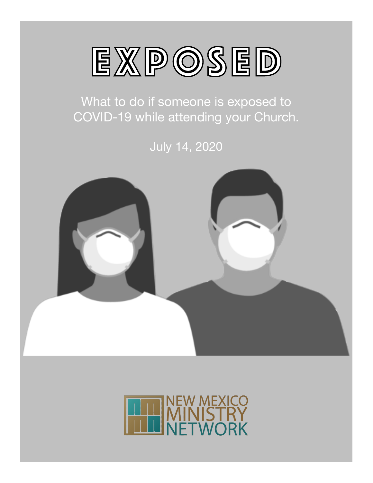